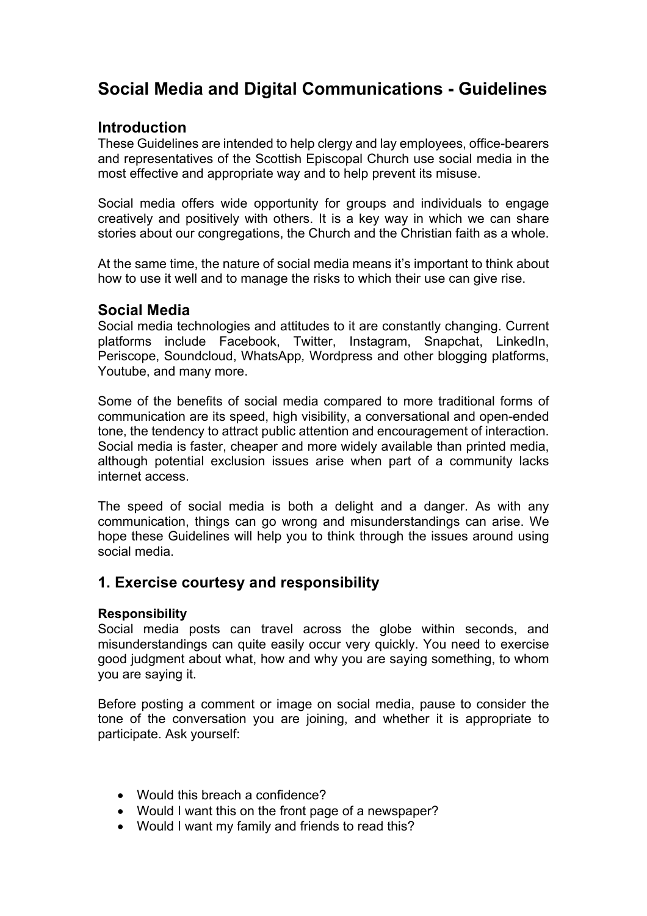# **Social Media and Digital Communications - Guidelines**

### **Introduction**

These Guidelines are intended to help clergy and lay employees, office-bearers and representatives of the Scottish Episcopal Church use social media in the most effective and appropriate way and to help prevent its misuse.

Social media offers wide opportunity for groups and individuals to engage creatively and positively with others. It is a key way in which we can share stories about our congregations, the Church and the Christian faith as a whole.

At the same time, the nature of social media means it's important to think about how to use it well and to manage the risks to which their use can give rise.

#### **Social Media**

Social media technologies and attitudes to it are constantly changing. Current platforms include Facebook, Twitter, Instagram, Snapchat, LinkedIn, Periscope, Soundcloud, WhatsApp*,* Wordpress and other blogging platforms, Youtube, and many more.

Some of the benefits of social media compared to more traditional forms of communication are its speed, high visibility, a conversational and open-ended tone, the tendency to attract public attention and encouragement of interaction. Social media is faster, cheaper and more widely available than printed media, although potential exclusion issues arise when part of a community lacks internet access.

The speed of social media is both a delight and a danger. As with any communication, things can go wrong and misunderstandings can arise. We hope these Guidelines will help you to think through the issues around using social media.

# **1. Exercise courtesy and responsibility**

#### **Responsibility**

Social media posts can travel across the globe within seconds, and misunderstandings can quite easily occur very quickly. You need to exercise good judgment about what, how and why you are saying something, to whom you are saying it.

Before posting a comment or image on social media, pause to consider the tone of the conversation you are joining, and whether it is appropriate to participate. Ask yourself:

- Would this breach a confidence?
- Would I want this on the front page of a newspaper?
- Would I want my family and friends to read this?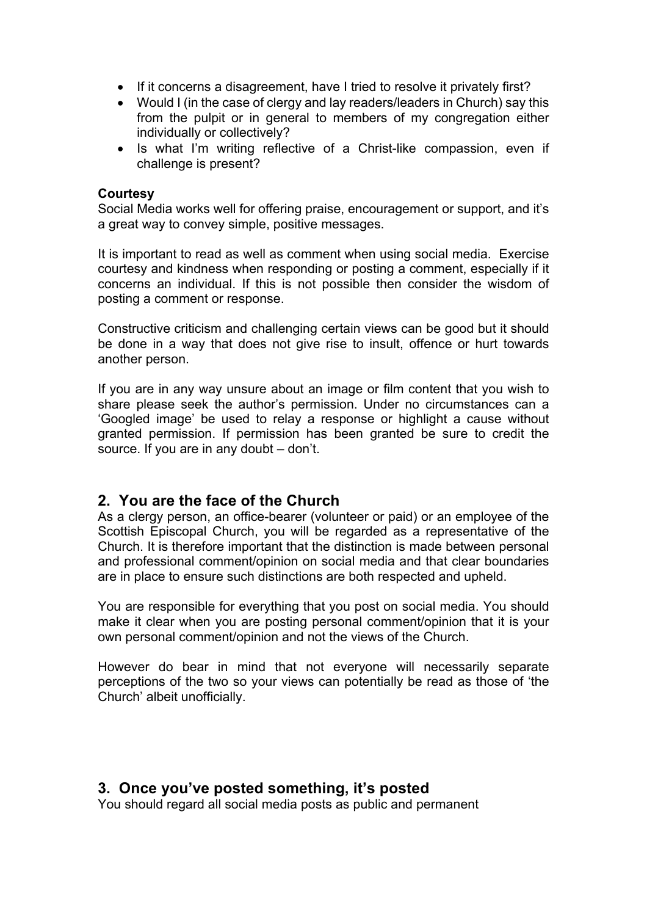- If it concerns a disagreement, have I tried to resolve it privately first?
- Would I (in the case of clergy and lay readers/leaders in Church) say this from the pulpit or in general to members of my congregation either individually or collectively?
- Is what I'm writing reflective of a Christ-like compassion, even if challenge is present?

#### **Courtesy**

Social Media works well for offering praise, encouragement or support, and it's a great way to convey simple, positive messages.

It is important to read as well as comment when using social media. Exercise courtesy and kindness when responding or posting a comment, especially if it concerns an individual. If this is not possible then consider the wisdom of posting a comment or response.

Constructive criticism and challenging certain views can be good but it should be done in a way that does not give rise to insult, offence or hurt towards another person.

If you are in any way unsure about an image or film content that you wish to share please seek the author's permission. Under no circumstances can a 'Googled image' be used to relay a response or highlight a cause without granted permission. If permission has been granted be sure to credit the source. If you are in any doubt – don't.

#### **2. You are the face of the Church**

As a clergy person, an office-bearer (volunteer or paid) or an employee of the Scottish Episcopal Church, you will be regarded as a representative of the Church. It is therefore important that the distinction is made between personal and professional comment/opinion on social media and that clear boundaries are in place to ensure such distinctions are both respected and upheld.

You are responsible for everything that you post on social media. You should make it clear when you are posting personal comment/opinion that it is your own personal comment/opinion and not the views of the Church.

However do bear in mind that not everyone will necessarily separate perceptions of the two so your views can potentially be read as those of 'the Church' albeit unofficially.

#### **3. Once you've posted something, it's posted**

You should regard all social media posts as public and permanent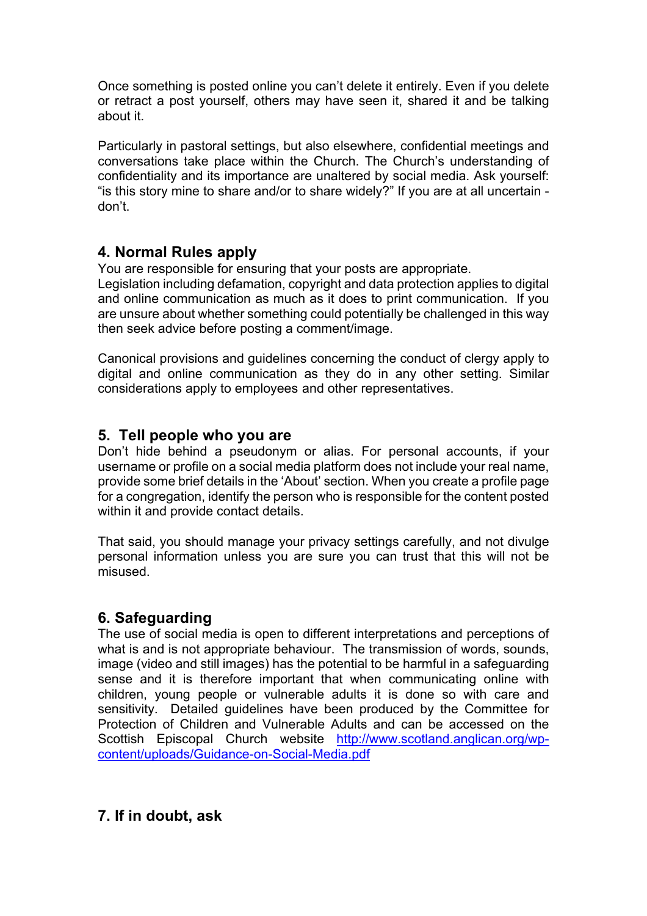Once something is posted online you can't delete it entirely. Even if you delete or retract a post yourself, others may have seen it, shared it and be talking about it.

Particularly in pastoral settings, but also elsewhere, confidential meetings and conversations take place within the Church. The Church's understanding of confidentiality and its importance are unaltered by social media. Ask yourself: "is this story mine to share and/or to share widely?" If you are at all uncertain don't.

# **4. Normal Rules apply**

You are responsible for ensuring that your posts are appropriate.

Legislation including defamation, copyright and data protection applies to digital and online communication as much as it does to print communication. If you are unsure about whether something could potentially be challenged in this way then seek advice before posting a comment/image.

Canonical provisions and guidelines concerning the conduct of clergy apply to digital and online communication as they do in any other setting. Similar considerations apply to employees and other representatives.

# **5. Tell people who you are**

Don't hide behind a pseudonym or alias. For personal accounts, if your username or profile on a social media platform does not include your real name, provide some brief details in the 'About' section. When you create a profile page for a congregation, identify the person who is responsible for the content posted within it and provide contact details.

That said, you should manage your privacy settings carefully, and not divulge personal information unless you are sure you can trust that this will not be misused.

# **6. Safeguarding**

The use of social media is open to different interpretations and perceptions of what is and is not appropriate behaviour. The transmission of words, sounds, image (video and still images) has the potential to be harmful in a safeguarding sense and it is therefore important that when communicating online with children, young people or vulnerable adults it is done so with care and sensitivity. Detailed guidelines have been produced by the Committee for Protection of Children and Vulnerable Adults and can be accessed on the Scottish Episcopal Church website http://www.scotland.anglican.org/wpcontent/uploads/Guidance-on-Social-Media.pdf